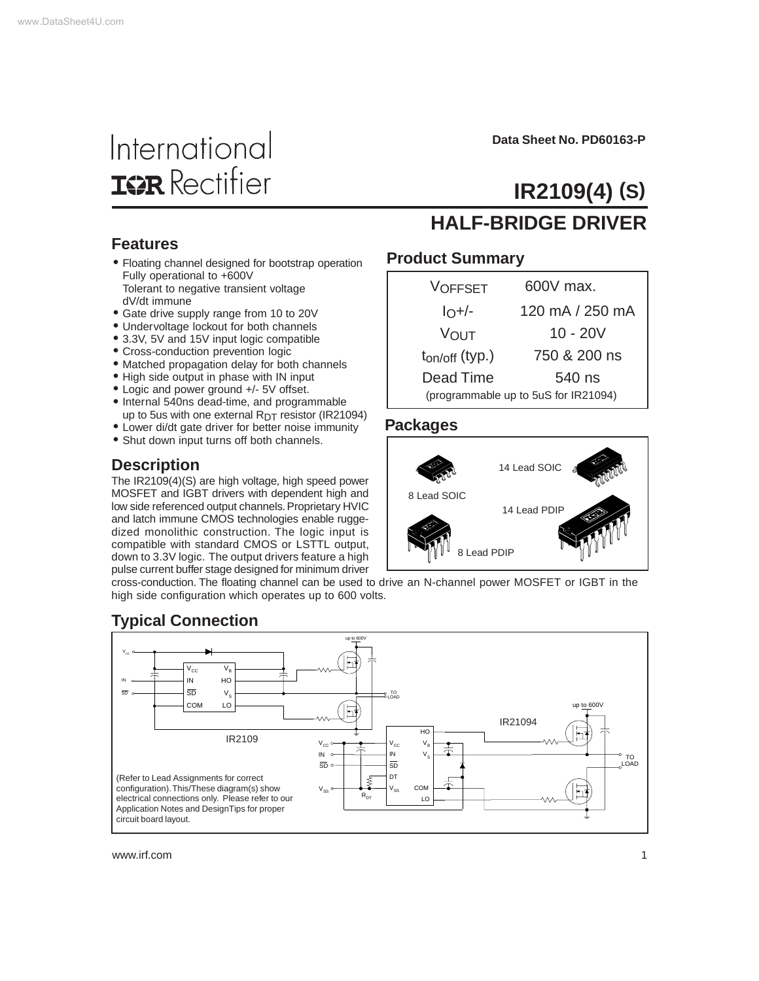# International **IGR** Rectifier

**Data Sheet No. PD60163-P**

# **IR2109(4) (S)**

#### **Features**

- Floating channel designed for bootstrap operation Fully operational to +600V Tolerant to negative transient voltage dV/dt immune
- Gate drive supply range from 10 to 20V
- Undervoltage lockout for both channels
- 3.3V, 5V and 15V input logic compatible
- Cross-conduction prevention logic
- Matched propagation delay for both channels
- High side output in phase with IN input
- Logic and power ground +/- 5V offset.
- Internal 540ns dead-time, and programmable up to 5us with one external  $R<sub>DT</sub>$  resistor (IR21094)
- Lower di/dt gate driver for better noise immunity
- Shut down input turns off both channels.

#### **Description**

The IR2109(4)(S) are high voltage, high speed power MOSFET and IGBT drivers with dependent high and low side referenced output channels. Proprietary HVIC and latch immune CMOS technologies enable ruggedized monolithic construction. The logic input is compatible with standard CMOS or LSTTL output, down to 3.3V logic. The output drivers feature a high pulse current buffer stage designed for minimum driver

#### cross-conduction. The floating channel can be used to drive an N-channel power MOSFET or IGBT in the high side configuration which operates up to 600 volts.

### **Typical Connection**



www.irf.com 1

### **HALF-BRIDGE DRIVER**

#### **Product Summary**

| <b>VOFFSET</b>      | 600V max.                            |
|---------------------|--------------------------------------|
| $IO+/-$             | 120 mA / 250 mA                      |
| VOUT                | $10 - 20V$                           |
| $t_{on/off}$ (typ.) | 750 & 200 ns                         |
| Dead Time           | 540 ns                               |
|                     | (programmable up to 5uS for IR21094) |

#### **Packages**

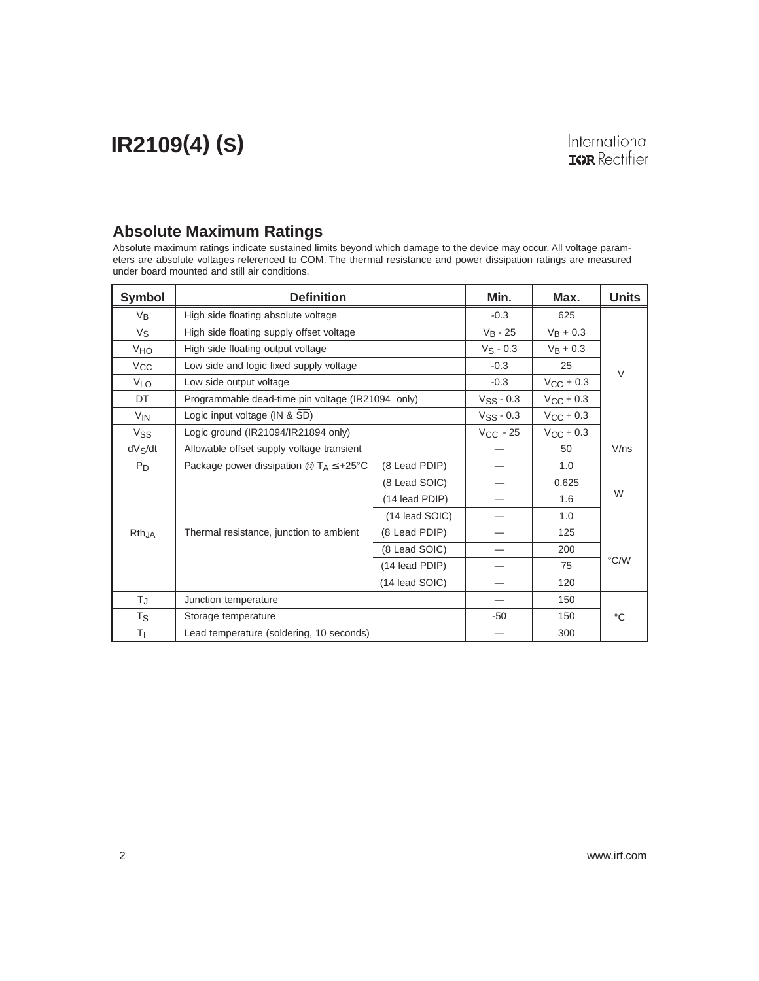#### **Absolute Maximum Ratings**

Absolute maximum ratings indicate sustained limits beyond which damage to the device may occur. All voltage parameters are absolute voltages referenced to COM. The thermal resistance and power dissipation ratings are measured under board mounted and still air conditions.

| <b>Symbol</b>         | <b>Definition</b>                                 |                | Min.                    | Max.                  | <b>Units</b> |
|-----------------------|---------------------------------------------------|----------------|-------------------------|-----------------------|--------------|
| $V_{B}$               | High side floating absolute voltage               |                | $-0.3$                  | 625                   |              |
| Vs                    | High side floating supply offset voltage          |                | $V_B - 25$              | $V_B + 0.3$           |              |
| <b>V<sub>HO</sub></b> | High side floating output voltage                 |                | $V_S - 0.3$             | $V_B + 0.3$           |              |
| $V_{\rm CC}$          | Low side and logic fixed supply voltage           |                | $-0.3$                  | 25                    | $\vee$       |
| <b>VLO</b>            | Low side output voltage                           |                | $-0.3$                  | $V_{CC}$ + 0.3        |              |
| DT                    | Programmable dead-time pin voltage (IR21094 only) |                | $VSS - 0.3$             | $V_{\rm CC}$ + 0.3    |              |
| $V_{IN}$              | Logic input voltage (IN & SD)                     |                | $V$ <sub>SS</sub> - 0.3 | $V_{\text{CC}}$ + 0.3 |              |
| Vss                   | Logic ground (IR21094/IR21894 only)               |                | $V_{CC}$ - 25           | $V_{\rm CC}$ + 0.3    |              |
| $dV_S/dt$             | Allowable offset supply voltage transient         |                |                         | 50                    | V/ns         |
| $P_D$                 | Package power dissipation $@T_A \leq +25°C$       | (8 Lead PDIP)  |                         | 1.0                   |              |
|                       |                                                   | (8 Lead SOIC)  |                         | 0.625                 |              |
|                       |                                                   | (14 lead PDIP) |                         | 1.6                   | W            |
|                       |                                                   | (14 lead SOIC) |                         | 1.0                   |              |
| RthJA                 | Thermal resistance, junction to ambient           | (8 Lead PDIP)  |                         | 125                   |              |
|                       |                                                   | (8 Lead SOIC)  |                         | 200                   |              |
|                       |                                                   | (14 lead PDIP) |                         | 75                    | °C/W         |
|                       |                                                   | (14 lead SOIC) |                         | 120                   |              |
| TJ.                   | Junction temperature                              |                |                         | 150                   |              |
| Ts                    | Storage temperature                               |                | $-50$                   | 150                   | °C           |
| ΤL                    | Lead temperature (soldering, 10 seconds)          |                |                         | 300                   |              |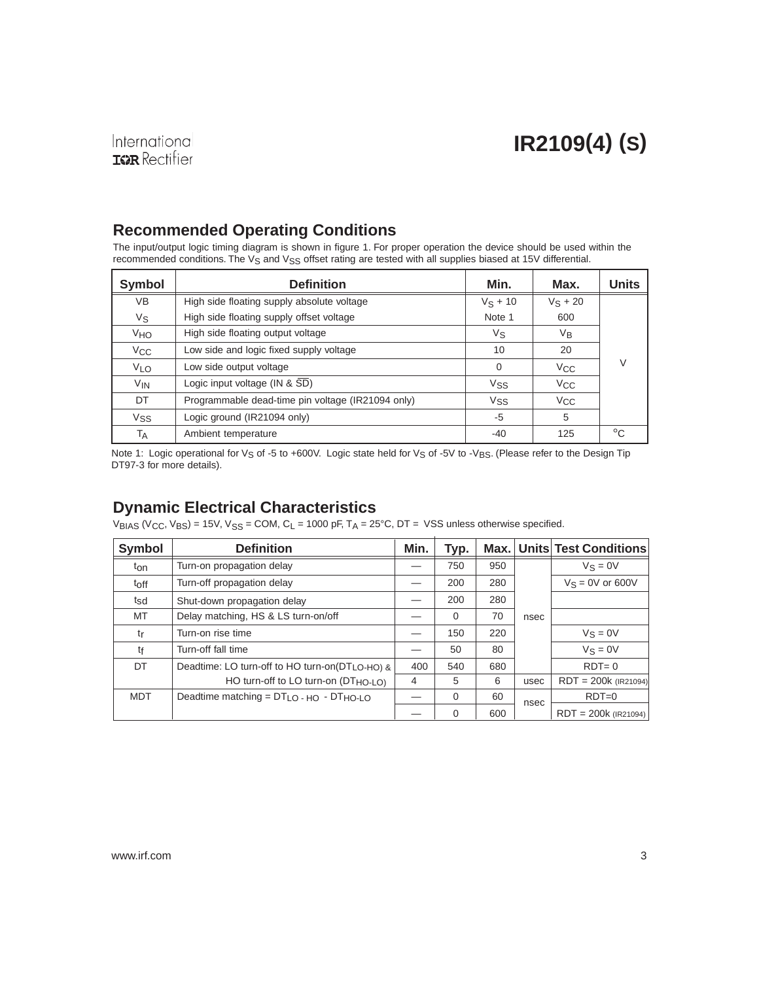### **Recommended Operating Conditions**

The input/output logic timing diagram is shown in figure 1. For proper operation the device should be used within the recommended conditions. The V<sub>S</sub> and V<sub>SS</sub> offset rating are tested with all supplies biased at 15V differential.

| Symbol                | <b>Definition</b>                                 | Min.       | Max.         | <b>Units</b> |
|-----------------------|---------------------------------------------------|------------|--------------|--------------|
| VB                    | High side floating supply absolute voltage        | $V_S + 10$ | $V_S + 20$   |              |
| Vs                    | High side floating supply offset voltage          | Note 1     | 600          |              |
| VHO                   | High side floating output voltage                 | Vs         | $V_{B}$      |              |
| V <sub>CC</sub>       | Low side and logic fixed supply voltage           | 10         | 20           |              |
| <b>VLO</b>            | Low side output voltage                           | $\Omega$   | $V_{\rm CC}$ | V            |
| <b>V<sub>IN</sub></b> | Logic input voltage (IN & SD)                     | Vss        | $V_{CC}$     |              |
| DT                    | Programmable dead-time pin voltage (IR21094 only) | Vss        | $V_{\rm CC}$ |              |
| <b>Vss</b>            | Logic ground (IR21094 only)                       | -5         | 5            |              |
| Тд                    | Ambient temperature                               | -40        | 125          | $^{\circ}C$  |

Note 1: Logic operational for V<sub>S</sub> of -5 to +600V. Logic state held for V<sub>S</sub> of -5V to -V<sub>BS</sub>. (Please refer to the Design Tip DT97-3 for more details).

### **Dynamic Electrical Characteristics**

 $V_{BIAS}$  (V<sub>CC</sub>, V<sub>BS</sub>) = 15V, V<sub>SS</sub> = COM, C<sub>L</sub> = 1000 pF, T<sub>A</sub> = 25°C, DT = VSS unless otherwise specified.

| <b>Symbol</b> | <b>Definition</b>                              | Min. | Typ.     | Max. |      | Units Test Conditions  |
|---------------|------------------------------------------------|------|----------|------|------|------------------------|
| ton           | Turn-on propagation delay                      |      | 750      | 950  |      | $V_S = 0V$             |
| toff          | Turn-off propagation delay                     |      | 200      | 280  |      | $V_S = 0V$ or 600V     |
| tsd           | Shut-down propagation delay                    |      | 200      | 280  |      |                        |
| MT            | Delay matching, HS & LS turn-on/off            |      | $\Omega$ | 70   | nsec |                        |
| tr            | Turn-on rise time                              |      | 150      | 220  |      | $V_S = 0V$             |
| tf            | Turn-off fall time                             |      | 50       | 80   |      | $V_S = 0V$             |
| DT            | Deadtime: LO turn-off to HO turn-on(DTLO-HO) & | 400  | 540      | 680  |      | $RDT=0$                |
|               | HO turn-off to LO turn-on (DTHO-LO)            | 4    | 5        | 6    | usec | $RDT = 200k$ (IR21094) |
| <b>MDT</b>    | Deadtime matching = $DTLO$ - HO - $DTHO-LO$    |      | $\Omega$ | 60   | nsec | $RDT=0$                |
|               |                                                |      | $\Omega$ | 600  |      | $RDT = 200k$ (IR21094) |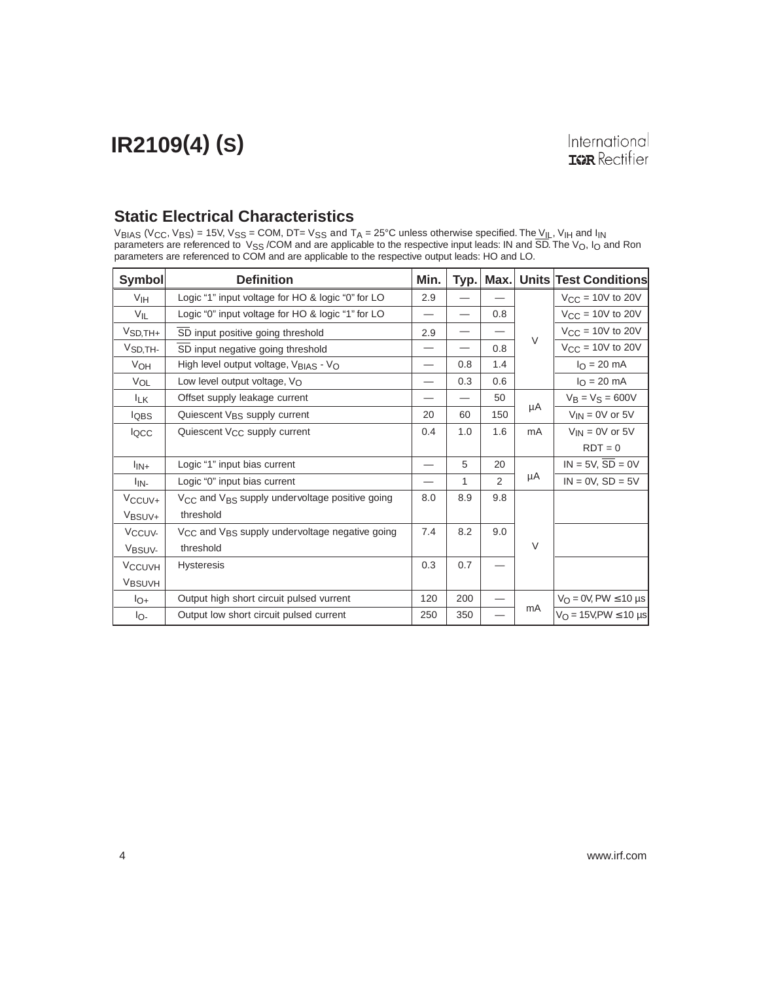#### **Static Electrical Characteristics**

 $\rm{V_{BIAS}}$  (V<sub>CC</sub>, V<sub>BS</sub>) = 15V, V<sub>SS</sub> = COM, DT= V<sub>SS</sub> and T<sub>A</sub> = 25°C unless otherwise specified. The V<sub>IL</sub>, V<sub>IH</sub> and I<sub>IN</sub> parameters are referenced to  $\vee_{SS}$  /COM and are applicable to the respective input leads: IN and SD. The  $\vee_{O}$ , I<sub>O</sub> and Ron parameters are referenced to COM and are applicable to the respective output leads: HO and LO.

| <b>Symbol</b>            | <b>Definition</b>                                                      | Min. | Typ. | Max.           | <b>Units</b> | <b>Test Conditions</b>              |
|--------------------------|------------------------------------------------------------------------|------|------|----------------|--------------|-------------------------------------|
| V <sub>IH</sub>          | Logic "1" input voltage for HO & logic "0" for LO                      | 2.9  |      |                |              | $V_{\text{CC}}$ = 10V to 20V        |
| VIL                      | Logic "0" input voltage for HO & logic "1" for LO                      |      |      | 0.8            |              | $V_{CC}$ = 10V to 20V               |
| $VSD,TH+$                | SD input positive going threshold                                      | 2.9  |      |                |              | $V_{CC}$ = 10V to 20V               |
| V <sub>SD,TH-</sub>      | SD input negative going threshold                                      |      |      | 0.8            | $\vee$       | $V_{CC}$ = 10V to 20V               |
| V <sub>OH</sub>          | High level output voltage, V <sub>BIAS</sub> - V <sub>O</sub>          | —    | 0.8  | 1.4            |              | $I_{\Omega} = 20$ mA                |
| VOL                      | Low level output voltage, VO                                           |      | 0.3  | 0.6            |              | $I_{\rm O} = 20 \text{ mA}$         |
| <b>ILK</b>               | Offset supply leakage current                                          |      |      | 50             |              | $V_B = V_S = 600V$                  |
| lQBS                     | Quiescent V <sub>BS</sub> supply current                               | 20   | 60   | 150            | μA           | $V_{IN} = 0V$ or 5V                 |
| locc                     | Quiescent V <sub>CC</sub> supply current                               | 0.4  | 1.0  | 1.6            | mA           | $V_{IN}$ = 0V or 5V                 |
|                          |                                                                        |      |      |                |              | $RDT = 0$                           |
| $I_{IN+}$                | Logic "1" input bias current                                           |      | 5    | 20             |              | $IN = 5V$ , $SD = 0V$               |
| l <sub>IN-</sub>         | Logic "0" input bias current                                           |      | 1    | $\mathfrak{p}$ | μA           | $IN = 0V$ , $SD = 5V$               |
| V <sub>CCUV</sub> +      | V <sub>CC</sub> and V <sub>BS</sub> supply undervoltage positive going | 8.0  | 8.9  | 9.8            |              |                                     |
| V <sub>BSUV+</sub>       | threshold                                                              |      |      |                |              |                                     |
| V <sub>CCUV-</sub>       | V <sub>CC</sub> and V <sub>BS</sub> supply undervoltage negative going | 7.4  | 8.2  | 9.0            |              |                                     |
| V <sub>BSUV-</sub>       | threshold                                                              |      |      |                | $\vee$       |                                     |
| <b>V<sub>CCUVH</sub></b> | <b>Hysteresis</b>                                                      | 0.3  | 0.7  |                |              |                                     |
| VBSUVH                   |                                                                        |      |      |                |              |                                     |
| $I_{O+}$                 | Output high short circuit pulsed vurrent                               | 120  | 200  |                |              | $V_O = 0V$ , PW $\leq 10$ µs        |
| lo-                      | Output low short circuit pulsed current                                | 250  | 350  |                | mA           | $V_{\Omega}$ = 15V, PW $\leq$ 10 µs |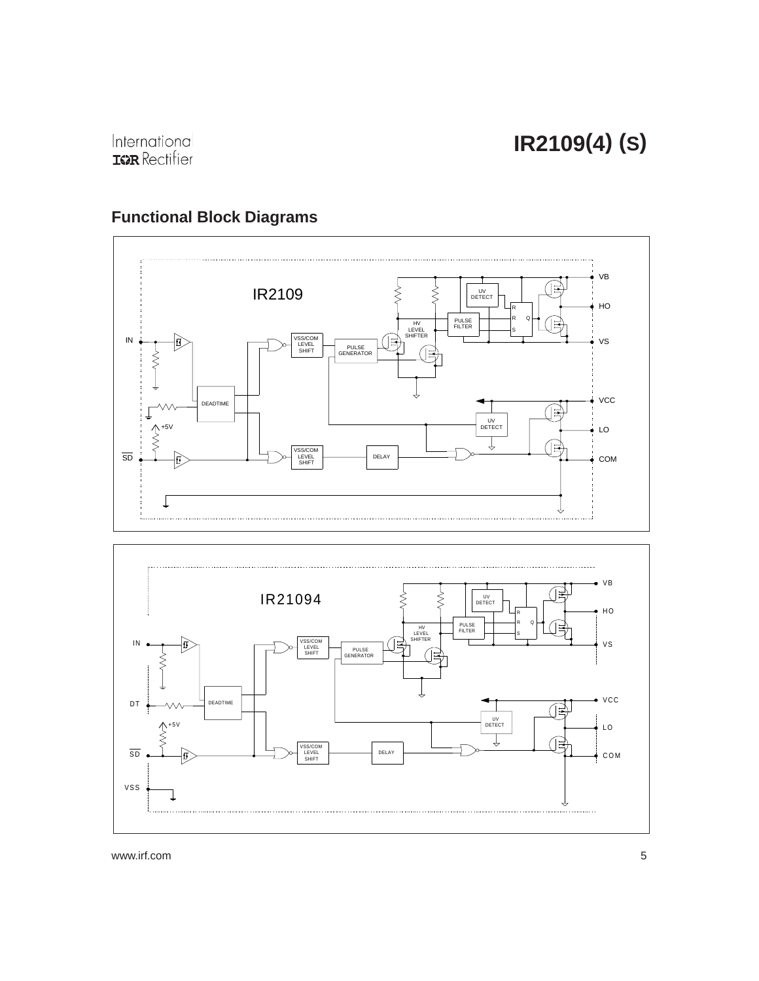

### **Functional Block Diagrams**



www.irf.com 5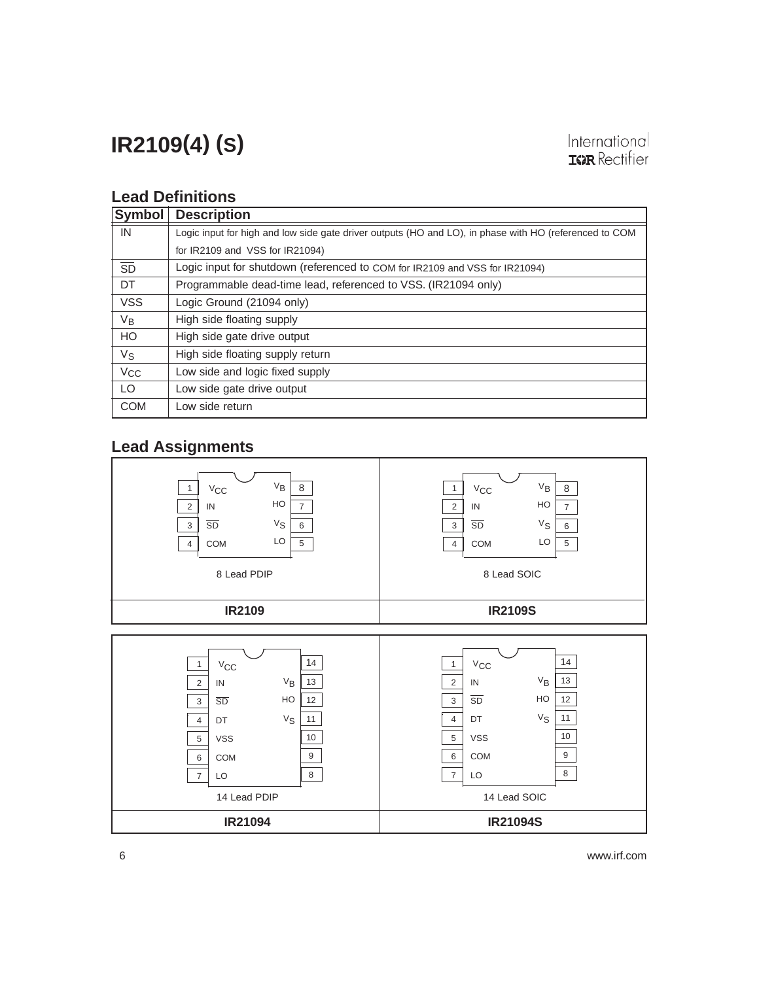### International **IGR** Rectifier

### **Lead Definitions**

| Symbol     | <b>Description</b>                                                                                     |
|------------|--------------------------------------------------------------------------------------------------------|
| IN         | Logic input for high and low side gate driver outputs (HO and LO), in phase with HO (referenced to COM |
|            | for IR2109 and VSS for IR21094)                                                                        |
| SD         | Logic input for shutdown (referenced to COM for IR2109 and VSS for IR21094)                            |
| DT         | Programmable dead-time lead, referenced to VSS. (IR21094 only)                                         |
| <b>VSS</b> | Logic Ground (21094 only)                                                                              |
| $V_B$      | High side floating supply                                                                              |
| HO         | High side gate drive output                                                                            |
| $V_{S}$    | High side floating supply return                                                                       |
| $V_{CC}$   | Low side and logic fixed supply                                                                        |
| LO         | Low side gate drive output                                                                             |
| <b>COM</b> | Low side return                                                                                        |

### **Lead Assignments**

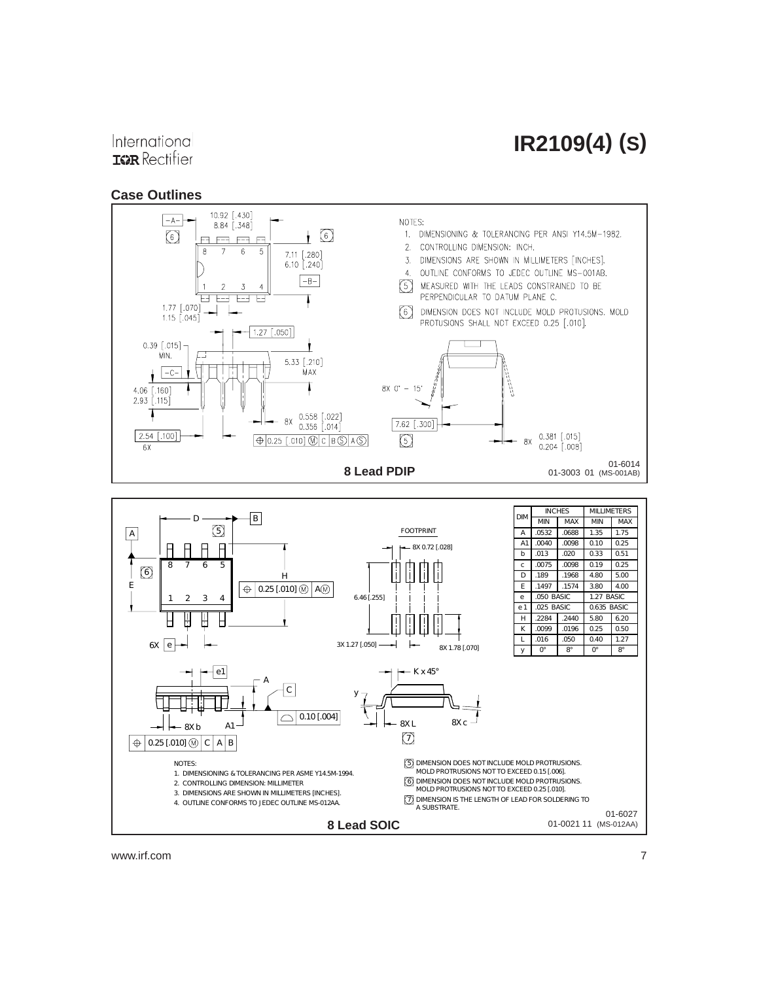### International **IGR** Rectifier

#### **Case Outlines**



www.irf.com 7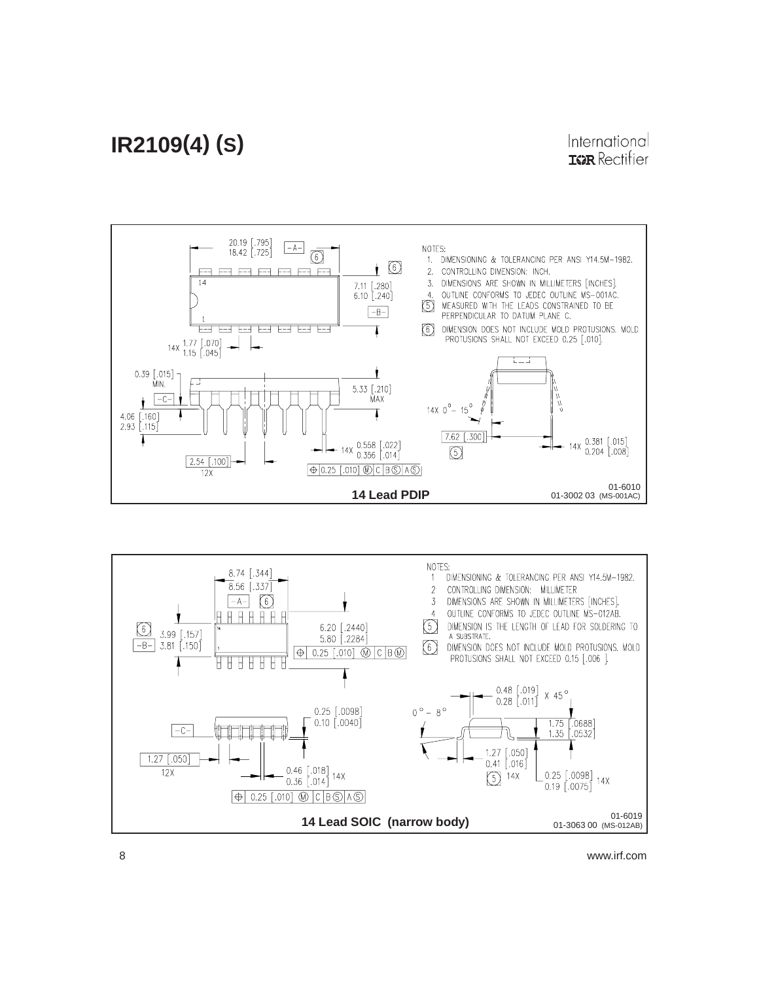



8 www.irf.com